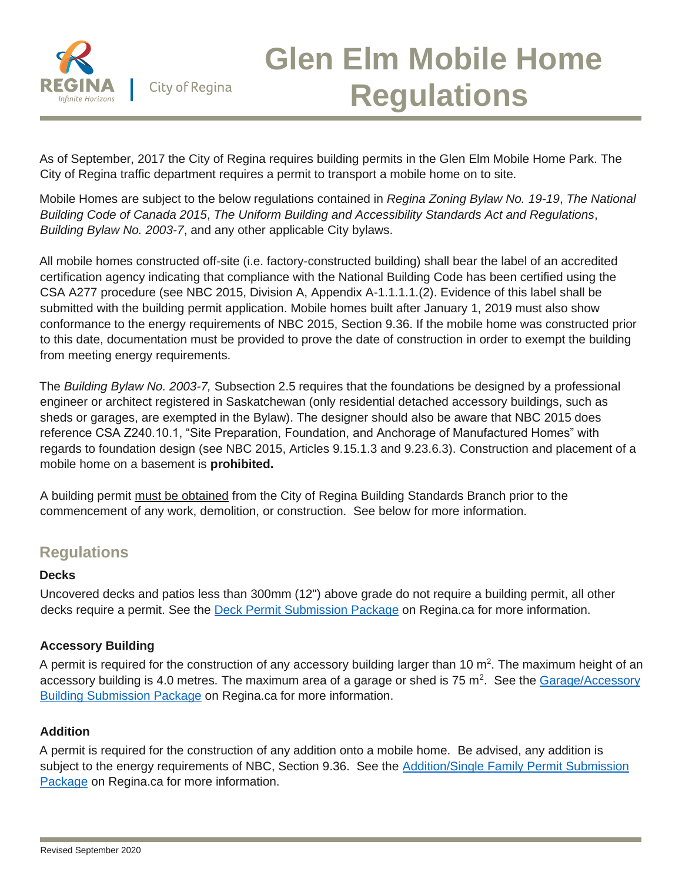

# **Glen Elm Mobile Home Regulations**

As of September, 2017 the City of Regina requires building permits in the Glen Elm Mobile Home Park. The City of Regina traffic department requires a permit to transport a mobile home on to site.

Mobile Homes are subject to the below regulations contained in *Regina Zoning Bylaw No. 19-19*, *The National Building Code of Canada 2015*, *The Uniform Building and Accessibility Standards Act and Regulations*, *Building Bylaw No. 2003-7*, and any other applicable City bylaws.

All mobile homes constructed off-site (i.e. factory-constructed building) shall bear the label of an accredited certification agency indicating that compliance with the National Building Code has been certified using the CSA A277 procedure (see NBC 2015, Division A, Appendix A-1.1.1.1.(2). Evidence of this label shall be submitted with the building permit application. Mobile homes built after January 1, 2019 must also show conformance to the energy requirements of NBC 2015, Section 9.36. If the mobile home was constructed prior to this date, documentation must be provided to prove the date of construction in order to exempt the building from meeting energy requirements.

The *Building Bylaw No. 2003-7,* Subsection 2.5 requires that the foundations be designed by a professional engineer or architect registered in Saskatchewan (only residential detached accessory buildings, such as sheds or garages, are exempted in the Bylaw). The designer should also be aware that NBC 2015 does reference CSA Z240.10.1, "Site Preparation, Foundation, and Anchorage of Manufactured Homes" with regards to foundation design (see NBC 2015, Articles 9.15.1.3 and 9.23.6.3). Construction and placement of a mobile home on a basement is **prohibited.**

A building permit must be obtained from the City of Regina Building Standards Branch prior to the commencement of any work, demolition, or construction. See below for more information.

## **Regulations**

#### **Decks**

Uncovered decks and patios less than 300mm (12") above grade do not require a building permit, all other decks require a permit. See the [Deck Permit Submission Package](https://www.regina.ca/bylaws-permits-licences/building-demolition/building-demo-permits/residential/deck-fence/) on Regina.ca for more information.

#### **Accessory Building**

A permit is required for the construction of any accessory building larger than 10  $m^2$ . The maximum height of an accessory building is 4.0 metres. The maximum area of a garage or shed is 75 m<sup>2</sup>. See the Garage/Accessory [Building Submission Package](https://www.regina.ca/bylaws-permits-licences/building-demolition/building-demo-permits/residential/garage-accessory-building/) on Regina.ca for more information.

#### **Addition**

A permit is required for the construction of any addition onto a mobile home. Be advised, any addition is subject to the energy requirements of NBC, Section 9.36. See the [Addition/Single Family Permit Submission](https://www.regina.ca/bylaws-permits-licences/building-demolition/building-demo-permits/residential/addition-single-family-semi-detached/)  [Package](https://www.regina.ca/bylaws-permits-licences/building-demolition/building-demo-permits/residential/addition-single-family-semi-detached/) on Regina.ca for more information.